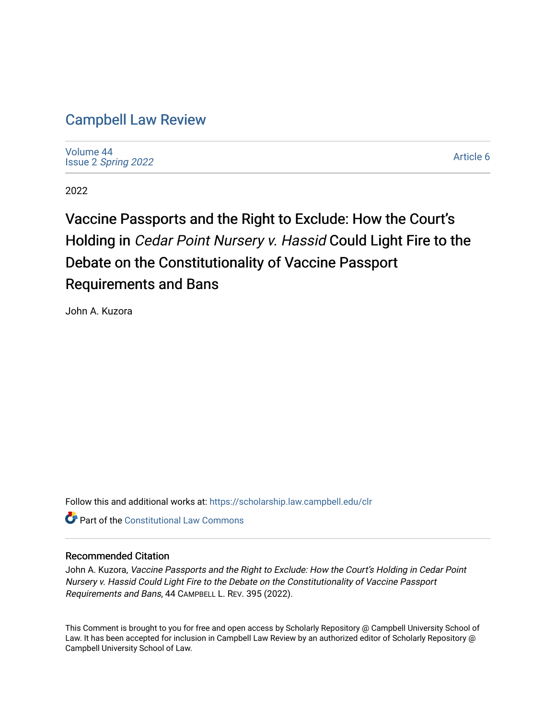## [Campbell Law Review](https://scholarship.law.campbell.edu/clr)

[Volume 44](https://scholarship.law.campbell.edu/clr/vol44) Issue 2 [Spring 2022](https://scholarship.law.campbell.edu/clr/vol44/iss2) 

[Article 6](https://scholarship.law.campbell.edu/clr/vol44/iss2/6) 

2022

# Vaccine Passports and the Right to Exclude: How the Court's Holding in Cedar Point Nursery v. Hassid Could Light Fire to the Debate on the Constitutionality of Vaccine Passport Requirements and Bans

John A. Kuzora

Follow this and additional works at: [https://scholarship.law.campbell.edu/clr](https://scholarship.law.campbell.edu/clr?utm_source=scholarship.law.campbell.edu%2Fclr%2Fvol44%2Fiss2%2F6&utm_medium=PDF&utm_campaign=PDFCoverPages) 

**C** Part of the Constitutional Law Commons

### Recommended Citation

John A. Kuzora, Vaccine Passports and the Right to Exclude: How the Court's Holding in Cedar Point Nursery v. Hassid Could Light Fire to the Debate on the Constitutionality of Vaccine Passport Requirements and Bans, 44 CAMPBELL L. REV. 395 (2022).

This Comment is brought to you for free and open access by Scholarly Repository @ Campbell University School of Law. It has been accepted for inclusion in Campbell Law Review by an authorized editor of Scholarly Repository @ Campbell University School of Law.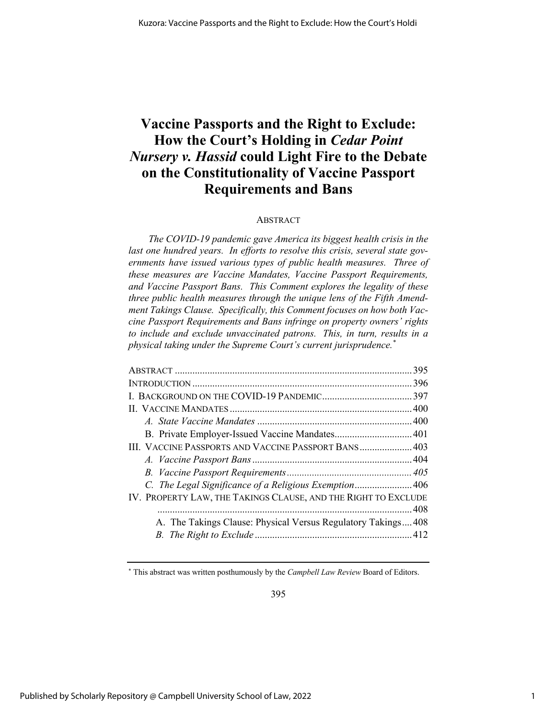## **Vaccine Passports and the Right to Exclude: How the Court's Holding in** *Cedar Point Nursery v. Hassid* **could Light Fire to the Debate on the Constitutionality of Vaccine Passport Requirements and Bans**

#### ABSTRACT

*The COVID-19 pandemic gave America its biggest health crisis in the last one hundred years. In efforts to resolve this crisis, several state governments have issued various types of public health measures. Three of these measures are Vaccine Mandates, Vaccine Passport Requirements, and Vaccine Passport Bans. This Comment explores the legality of these three public health measures through the unique lens of the Fifth Amendment Takings Clause. Specifically, this Comment focuses on how both Vaccine Passport Requirements and Bans infringe on property owners' rights to include and exclude unvaccinated patrons. This, in turn, results in a physical taking under the Supreme Court's current jurisprudence.\**

| III. VACCINE PASSPORTS AND VACCINE PASSPORT BANS 403           |  |
|----------------------------------------------------------------|--|
|                                                                |  |
|                                                                |  |
| C. The Legal Significance of a Religious Exemption406          |  |
| IV. PROPERTY LAW, THE TAKINGS CLAUSE, AND THE RIGHT TO EXCLUDE |  |
|                                                                |  |
| A. The Takings Clause: Physical Versus Regulatory Takings408   |  |
|                                                                |  |

<sup>\*</sup> This abstract was written posthumously by the *Campbell Law Review* Board of Editors.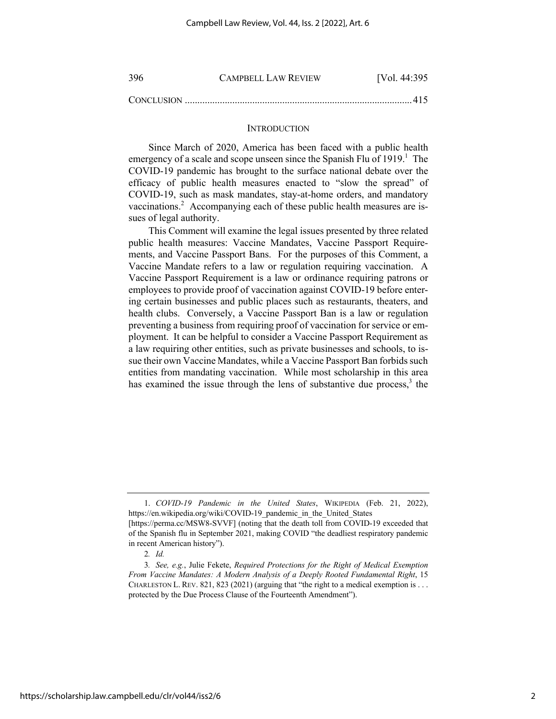| -396       | <b>CAMPBELL LAW REVIEW</b> | [Vol. 44:395] |
|------------|----------------------------|---------------|
| CONCLUSION |                            |               |

#### **INTRODUCTION**

Since March of 2020, America has been faced with a public health emergency of a scale and scope unseen since the Spanish Flu of  $1919$ .<sup>1</sup> The COVID-19 pandemic has brought to the surface national debate over the efficacy of public health measures enacted to "slow the spread" of COVID-19, such as mask mandates, stay-at-home orders, and mandatory vaccinations.<sup>2</sup> Accompanying each of these public health measures are issues of legal authority.

This Comment will examine the legal issues presented by three related public health measures: Vaccine Mandates, Vaccine Passport Requirements, and Vaccine Passport Bans. For the purposes of this Comment, a Vaccine Mandate refers to a law or regulation requiring vaccination. A Vaccine Passport Requirement is a law or ordinance requiring patrons or employees to provide proof of vaccination against COVID-19 before entering certain businesses and public places such as restaurants, theaters, and health clubs. Conversely, a Vaccine Passport Ban is a law or regulation preventing a business from requiring proof of vaccination for service or employment. It can be helpful to consider a Vaccine Passport Requirement as a law requiring other entities, such as private businesses and schools, to issue their own Vaccine Mandates, while a Vaccine Passport Ban forbids such entities from mandating vaccination. While most scholarship in this area has examined the issue through the lens of substantive due process, $3$  the

<sup>1.</sup> *COVID-19 Pandemic in the United States*, WIKIPEDIA (Feb. 21, 2022), https://en.wikipedia.org/wiki/COVID-19\_pandemic\_in\_the\_United\_States

<sup>[</sup>https://perma.cc/MSW8-SVVF] (noting that the death toll from COVID-19 exceeded that of the Spanish flu in September 2021, making COVID "the deadliest respiratory pandemic in recent American history").

<sup>2</sup>*. Id.*

<sup>3</sup>*. See, e.g.*, Julie Fekete, *Required Protections for the Right of Medical Exemption From Vaccine Mandates: A Modern Analysis of a Deeply Rooted Fundamental Right*, 15 CHARLESTON L. REV. 821, 823 (2021) (arguing that "the right to a medical exemption is . . . protected by the Due Process Clause of the Fourteenth Amendment").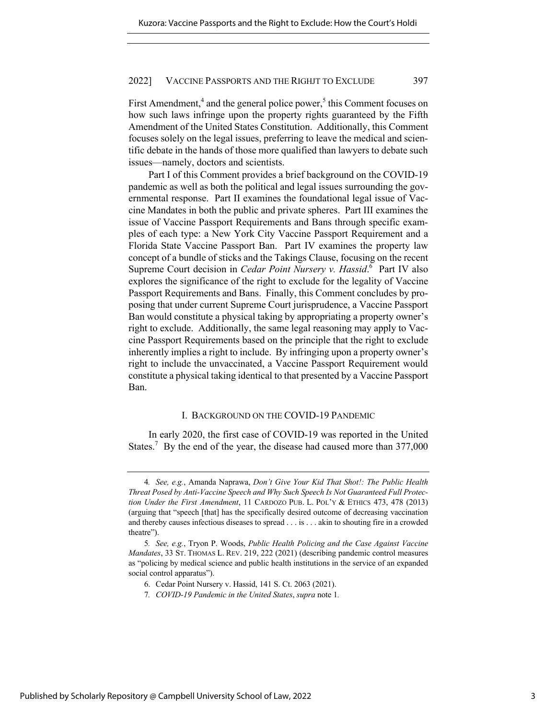First Amendment, $4$  and the general police power, $5$  this Comment focuses on how such laws infringe upon the property rights guaranteed by the Fifth Amendment of the United States Constitution. Additionally, this Comment focuses solely on the legal issues, preferring to leave the medical and scientific debate in the hands of those more qualified than lawyers to debate such issues—namely, doctors and scientists.

Part I of this Comment provides a brief background on the COVID-19 pandemic as well as both the political and legal issues surrounding the governmental response. Part II examines the foundational legal issue of Vaccine Mandates in both the public and private spheres. Part III examines the issue of Vaccine Passport Requirements and Bans through specific examples of each type: a New York City Vaccine Passport Requirement and a Florida State Vaccine Passport Ban. Part IV examines the property law concept of a bundle of sticks and the Takings Clause, focusing on the recent Supreme Court decision in *Cedar Point Nursery v. Hassid*.<sup>6</sup> Part IV also explores the significance of the right to exclude for the legality of Vaccine Passport Requirements and Bans. Finally, this Comment concludes by proposing that under current Supreme Court jurisprudence, a Vaccine Passport Ban would constitute a physical taking by appropriating a property owner's right to exclude. Additionally, the same legal reasoning may apply to Vaccine Passport Requirements based on the principle that the right to exclude inherently implies a right to include. By infringing upon a property owner's right to include the unvaccinated, a Vaccine Passport Requirement would constitute a physical taking identical to that presented by a Vaccine Passport Ban.

#### I. BACKGROUND ON THE COVID-19 PANDEMIC

In early 2020, the first case of COVID-19 was reported in the United States.<sup>7</sup> By the end of the year, the disease had caused more than  $377,000$ 

<sup>4</sup>*. See, e.g.*, Amanda Naprawa, *Don't Give Your Kid That Shot!: The Public Health Threat Posed by Anti-Vaccine Speech and Why Such Speech Is Not Guaranteed Full Protection Under the First Amendment*, 11 CARDOZO PUB. L. POL'Y & ETHICS 473, 478 (2013) (arguing that "speech [that] has the specifically desired outcome of decreasing vaccination and thereby causes infectious diseases to spread . . . is . . . akin to shouting fire in a crowded theatre").

<sup>5</sup>*. See, e.g.*, Tryon P. Woods, *Public Health Policing and the Case Against Vaccine Mandates*, 33 ST. THOMAS L. REV. 219, 222 (2021) (describing pandemic control measures as "policing by medical science and public health institutions in the service of an expanded social control apparatus").

<sup>6.</sup> Cedar Point Nursery v. Hassid, 141 S. Ct. 2063 (2021).

<sup>7</sup>*. COVID-19 Pandemic in the United States*, *supra* note 1*.*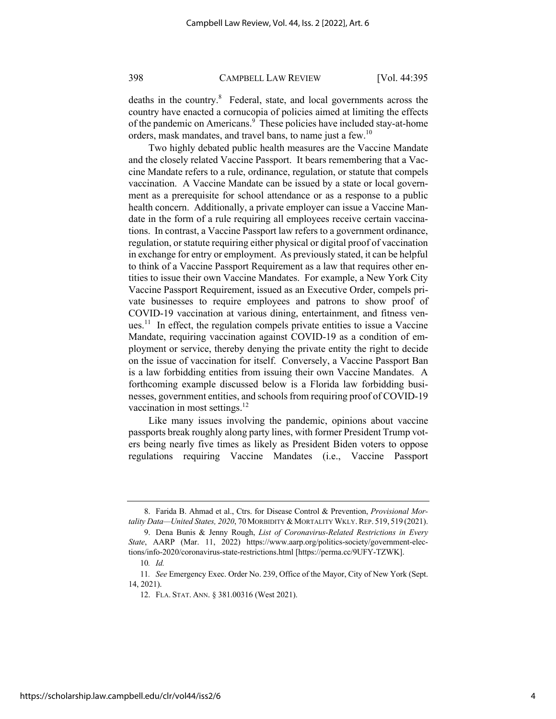deaths in the country.<sup>8</sup> Federal, state, and local governments across the country have enacted a cornucopia of policies aimed at limiting the effects of the pandemic on Americans.<sup>9</sup> These policies have included stay-at-home orders, mask mandates, and travel bans, to name just a few.<sup>10</sup>

Two highly debated public health measures are the Vaccine Mandate and the closely related Vaccine Passport. It bears remembering that a Vaccine Mandate refers to a rule, ordinance, regulation, or statute that compels vaccination. A Vaccine Mandate can be issued by a state or local government as a prerequisite for school attendance or as a response to a public health concern. Additionally, a private employer can issue a Vaccine Mandate in the form of a rule requiring all employees receive certain vaccinations. In contrast, a Vaccine Passport law refers to a government ordinance, regulation, or statute requiring either physical or digital proof of vaccination in exchange for entry or employment. As previously stated, it can be helpful to think of a Vaccine Passport Requirement as a law that requires other entities to issue their own Vaccine Mandates. For example, a New York City Vaccine Passport Requirement, issued as an Executive Order, compels private businesses to require employees and patrons to show proof of COVID-19 vaccination at various dining, entertainment, and fitness venues.<sup>11</sup> In effect, the regulation compels private entities to issue a Vaccine Mandate, requiring vaccination against COVID-19 as a condition of employment or service, thereby denying the private entity the right to decide on the issue of vaccination for itself. Conversely, a Vaccine Passport Ban is a law forbidding entities from issuing their own Vaccine Mandates. A forthcoming example discussed below is a Florida law forbidding businesses, government entities, and schools from requiring proof of COVID-19 vaccination in most settings. $^{12}$ 

Like many issues involving the pandemic, opinions about vaccine passports break roughly along party lines, with former President Trump voters being nearly five times as likely as President Biden voters to oppose regulations requiring Vaccine Mandates (i.e., Vaccine Passport

<sup>8.</sup> Farida B. Ahmad et al., Ctrs. for Disease Control & Prevention, *Provisional Mortality Data—United States, 2020, 70 MORBIDITY & MORTALITY WKLY. REP.* 519, 519 (2021).

<sup>9.</sup> Dena Bunis & Jenny Rough, *List of Coronavirus-Related Restrictions in Every State*, AARP (Mar. 11, 2022) https://www.aarp.org/politics-society/government-elections/info-2020/coronavirus-state-restrictions.html [https://perma.cc/9UFY-TZWK].

<sup>10</sup>*. Id.*

<sup>11</sup>*. See* Emergency Exec. Order No. 239, Office of the Mayor, City of New York (Sept. 14, 2021).

<sup>12.</sup> FLA. STAT. ANN. § 381.00316 (West 2021).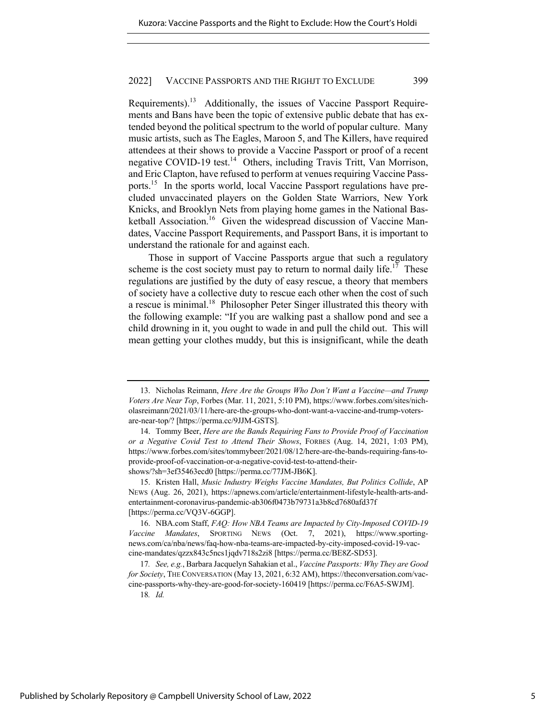Requirements).13 Additionally, the issues of Vaccine Passport Requirements and Bans have been the topic of extensive public debate that has extended beyond the political spectrum to the world of popular culture. Many music artists, such as The Eagles, Maroon 5, and The Killers, have required attendees at their shows to provide a Vaccine Passport or proof of a recent negative COVID-19 test.<sup>14</sup> Others, including Travis Tritt, Van Morrison, and Eric Clapton, have refused to perform at venues requiring Vaccine Passports.15 In the sports world, local Vaccine Passport regulations have precluded unvaccinated players on the Golden State Warriors, New York Knicks, and Brooklyn Nets from playing home games in the National Basketball Association.<sup>16</sup> Given the widespread discussion of Vaccine Mandates, Vaccine Passport Requirements, and Passport Bans, it is important to understand the rationale for and against each.

Those in support of Vaccine Passports argue that such a regulatory scheme is the cost society must pay to return to normal daily life.<sup>17</sup> These regulations are justified by the duty of easy rescue, a theory that members of society have a collective duty to rescue each other when the cost of such a rescue is minimal.<sup>18</sup> Philosopher Peter Singer illustrated this theory with the following example: "If you are walking past a shallow pond and see a child drowning in it, you ought to wade in and pull the child out. This will mean getting your clothes muddy, but this is insignificant, while the death

<sup>13.</sup> Nicholas Reimann, *Here Are the Groups Who Don't Want a Vaccine—and Trump Voters Are Near Top*, Forbes (Mar. 11, 2021, 5:10 PM), https://www.forbes.com/sites/nicholasreimann/2021/03/11/here-are-the-groups-who-dont-want-a-vaccine-and-trump-votersare-near-top/? [https://perma.cc/9JJM-GSTS].

<sup>14.</sup> Tommy Beer, *Here are the Bands Requiring Fans to Provide Proof of Vaccination or a Negative Covid Test to Attend Their Shows*, FORBES (Aug. 14, 2021, 1:03 PM), https://www.forbes.com/sites/tommybeer/2021/08/12/here-are-the-bands-requiring-fans-toprovide-proof-of-vaccination-or-a-negative-covid-test-to-attend-theirshows/?sh=3ef35463ecd0 [https://perma.cc/77JM-JB6K].

<sup>15.</sup> Kristen Hall, *Music Industry Weighs Vaccine Mandates, But Politics Collide*, AP NEWS (Aug. 26, 2021), https://apnews.com/article/entertainment-lifestyle-health-arts-andentertainment-coronavirus-pandemic-ab306f0473b79731a3b8cd7680afd37f [https://perma.cc/VQ3V-6GGP].

<sup>16.</sup> NBA.com Staff, *FAQ: How NBA Teams are Impacted by City-Imposed COVID-19 Vaccine Mandates*, SPORTING NEWS (Oct. 7, 2021), https://www.sportingnews.com/ca/nba/news/faq-how-nba-teams-are-impacted-by-city-imposed-covid-19-vaccine-mandates/qzzx843c5ncs1jqdv718s2zi8 [https://perma.cc/BE8Z-SD53].

<sup>17</sup>*. See, e.g.*, Barbara Jacquelyn Sahakian et al., *Vaccine Passports: Why They are Good for Society*, THE CONVERSATION (May 13, 2021, 6:32 AM), https://theconversation.com/vaccine-passports-why-they-are-good-for-society-160419 [https://perma.cc/F6A5-SWJM].

<sup>18</sup>*. Id.*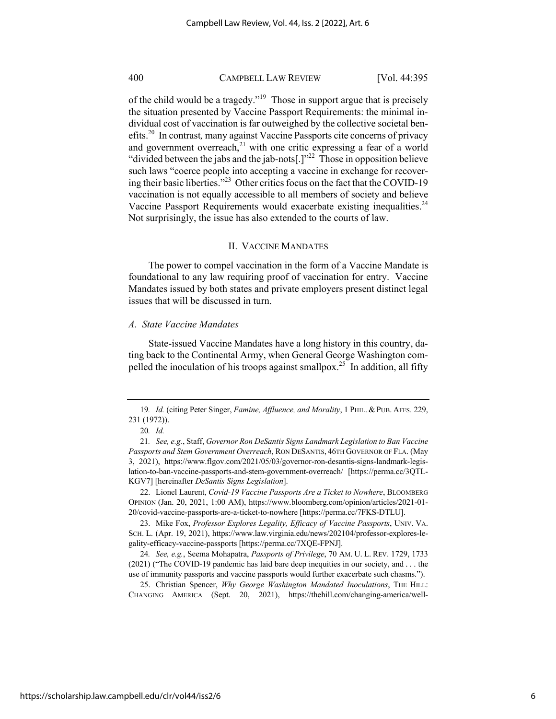of the child would be a tragedy."19 Those in support argue that is precisely the situation presented by Vaccine Passport Requirements: the minimal individual cost of vaccination is far outweighed by the collective societal benefits.20In contrast*,* many against Vaccine Passports cite concerns of privacy and government overreach, $21$  with one critic expressing a fear of a world "divided between the jabs and the jab-nots[.]"22 Those in opposition believe such laws "coerce people into accepting a vaccine in exchange for recovering their basic liberties."23 Other critics focus on the fact that the COVID-19 vaccination is not equally accessible to all members of society and believe Vaccine Passport Requirements would exacerbate existing inequalities.<sup>24</sup> Not surprisingly, the issue has also extended to the courts of law.

#### II. VACCINE MANDATES

The power to compel vaccination in the form of a Vaccine Mandate is foundational to any law requiring proof of vaccination for entry. Vaccine Mandates issued by both states and private employers present distinct legal issues that will be discussed in turn.

#### *A. State Vaccine Mandates*

State-issued Vaccine Mandates have a long history in this country, dating back to the Continental Army, when General George Washington compelled the inoculation of his troops against smallpox.<sup>25</sup> In addition, all fifty

22. Lionel Laurent, *Covid-19 Vaccine Passports Are a Ticket to Nowhere*, BLOOMBERG OPINION (Jan. 20, 2021, 1:00 AM), https://www.bloomberg.com/opinion/articles/2021-01- 20/covid-vaccine-passports-are-a-ticket-to-nowhere [https://perma.cc/7FKS-DTLU].

23. Mike Fox, *Professor Explores Legality, Efficacy of Vaccine Passports*, UNIV. VA. SCH. L. (Apr. 19, 2021), https://www.law.virginia.edu/news/202104/professor-explores-legality-efficacy-vaccine-passports [https://perma.cc/7XQE-FPNJ].

24*. See, e.g.*, Seema Mohapatra, *Passports of Privilege*, 70 AM. U. L. REV. 1729, 1733 (2021) ("The COVID-19 pandemic has laid bare deep inequities in our society, and . . . the use of immunity passports and vaccine passports would further exacerbate such chasms.").

25. Christian Spencer, *Why George Washington Mandated Inoculations*, THE HILL: CHANGING AMERICA (Sept. 20, 2021), https://thehill.com/changing-america/well-

<sup>19</sup>*. Id.* (citing Peter Singer, *Famine, Affluence, and Morality*, 1 PHIL. & PUB. AFFS. 229, 231 (1972)).

<sup>20</sup>*. Id.*

<sup>21</sup>*. See, e.g.*, Staff, *Governor Ron DeSantis Signs Landmark Legislation to Ban Vaccine Passports and Stem Government Overreach*, RON DESANTIS, 46TH GOVERNOR OF FLA. (May 3, 2021), https://www.flgov.com/2021/05/03/governor-ron-desantis-signs-landmark-legislation-to-ban-vaccine-passports-and-stem-government-overreach/ [https://perma.cc/3QTL-KGV7] [hereinafter *DeSantis Signs Legislation*].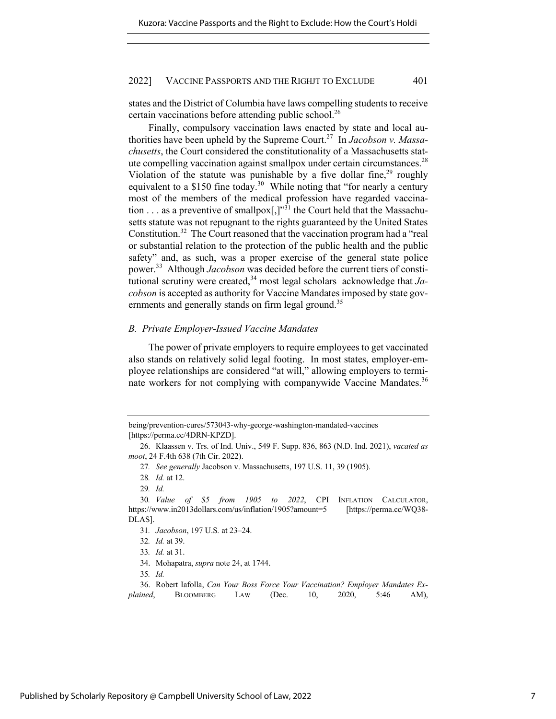states and the District of Columbia have laws compelling students to receive certain vaccinations before attending public school.<sup>26</sup>

Finally, compulsory vaccination laws enacted by state and local authorities have been upheld by the Supreme Court.27 In *Jacobson v. Massachusetts*, the Court considered the constitutionality of a Massachusetts statute compelling vaccination against smallpox under certain circumstances.<sup>28</sup> Violation of the statute was punishable by a five dollar fine,  $29$  roughly equivalent to a \$150 fine today.<sup>30</sup> While noting that "for nearly a century most of the members of the medical profession have regarded vaccination . . . as a preventive of smallpox $\left[,\right]$ <sup>31</sup> the Court held that the Massachusetts statute was not repugnant to the rights guaranteed by the United States Constitution.32 The Court reasoned that the vaccination program had a "real or substantial relation to the protection of the public health and the public safety" and, as such, was a proper exercise of the general state police power.33 Although *Jacobson* was decided before the current tiers of constitutional scrutiny were created,<sup>34</sup> most legal scholars acknowledge that  $Ja$ *cobson* is accepted as authority for Vaccine Mandates imposed by state governments and generally stands on firm legal ground.<sup>35</sup>

#### *B. Private Employer-Issued Vaccine Mandates*

The power of private employers to require employees to get vaccinated also stands on relatively solid legal footing. In most states, employer-employee relationships are considered "at will," allowing employers to terminate workers for not complying with companywide Vaccine Mandates.<sup>36</sup>

being/prevention-cures/573043-why-george-washington-mandated-vaccines [https://perma.cc/4DRN-KPZD].

<sup>26.</sup> Klaassen v. Trs. of Ind. Univ., 549 F. Supp. 836, 863 (N.D. Ind. 2021), *vacated as moot*, 24 F.4th 638 (7th Cir. 2022).

<sup>27</sup>*. See generally* Jacobson v. Massachusetts, 197 U.S. 11, 39 (1905).

<sup>28</sup>*. Id.* at 12.

<sup>29</sup>*. Id.*

<sup>30</sup>*. Value of \$5 from 1905 to 2022*, CPI INFLATION CALCULATOR, https://www.in2013dollars.com/us/inflation/1905?amount=5 [https://perma.cc/WQ38- DLAS].

<sup>31</sup>*. Jacobson*, 197 U.S*.* at 23–24.

<sup>32</sup>*. Id.* at 39.

<sup>33</sup>*. Id.* at 31.

<sup>34.</sup> Mohapatra, *supra* note 24, at 1744.

<sup>35</sup>*. Id.*

<sup>36.</sup> Robert Iafolla, *Can Your Boss Force Your Vaccination? Employer Mandates Explained*, BLOOMBERG LAW (Dec. 10, 2020, 5:46 AM),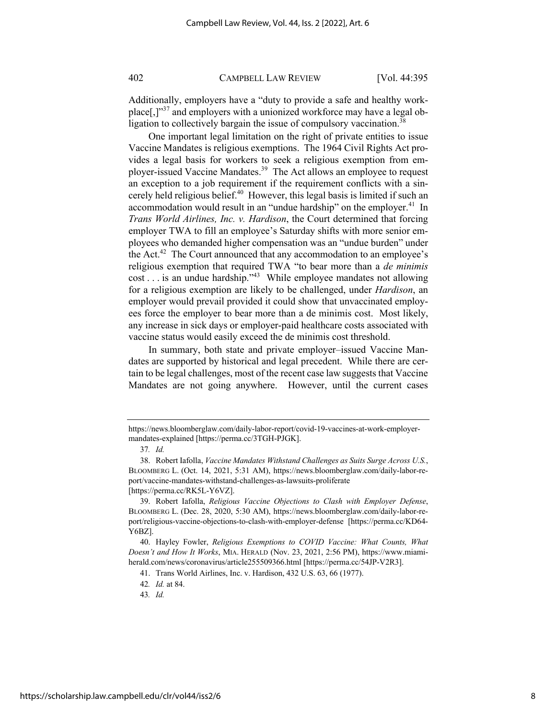Additionally, employers have a "duty to provide a safe and healthy workplace[,] $1^{37}$  and employers with a unionized workforce may have a legal obligation to collectively bargain the issue of compulsory vaccination.<sup>38</sup>

One important legal limitation on the right of private entities to issue Vaccine Mandates is religious exemptions. The 1964 Civil Rights Act provides a legal basis for workers to seek a religious exemption from employer-issued Vaccine Mandates.<sup>39</sup> The Act allows an employee to request an exception to a job requirement if the requirement conflicts with a sincerely held religious belief. $40$  However, this legal basis is limited if such an accommodation would result in an "undue hardship" on the employer.<sup>41</sup> In *Trans World Airlines, Inc. v. Hardison*, the Court determined that forcing employer TWA to fill an employee's Saturday shifts with more senior employees who demanded higher compensation was an "undue burden" under the Act.<sup>42</sup> The Court announced that any accommodation to an employee's religious exemption that required TWA "to bear more than a *de minimis* cost . . . is an undue hardship."43 While employee mandates not allowing for a religious exemption are likely to be challenged, under *Hardison*, an employer would prevail provided it could show that unvaccinated employees force the employer to bear more than a de minimis cost. Most likely, any increase in sick days or employer-paid healthcare costs associated with vaccine status would easily exceed the de minimis cost threshold.

In summary, both state and private employer–issued Vaccine Mandates are supported by historical and legal precedent. While there are certain to be legal challenges, most of the recent case law suggests that Vaccine Mandates are not going anywhere. However, until the current cases

https://news.bloomberglaw.com/daily-labor-report/covid-19-vaccines-at-work-employermandates-explained [https://perma.cc/3TGH-PJGK].

<sup>37</sup>*. Id.*

<sup>38.</sup> Robert Iafolla, *Vaccine Mandates Withstand Challenges as Suits Surge Across U.S.*, BLOOMBERG L. (Oct. 14, 2021, 5:31 AM), https://news.bloomberglaw.com/daily-labor-report/vaccine-mandates-withstand-challenges-as-lawsuits-proliferate [https://perma.cc/RK5L-Y6VZ].

<sup>39.</sup> Robert Iafolla, *Religious Vaccine Objections to Clash with Employer Defense*, BLOOMBERG L. (Dec. 28, 2020, 5:30 AM), https://news.bloomberglaw.com/daily-labor-report/religious-vaccine-objections-to-clash-with-employer-defense [https://perma.cc/KD64- Y6BZ].

<sup>40.</sup> Hayley Fowler, *Religious Exemptions to COVID Vaccine: What Counts, What Doesn't and How It Works*, MIA. HERALD (Nov. 23, 2021, 2:56 PM), https://www.miamiherald.com/news/coronavirus/article255509366.html [https://perma.cc/54JP-V2R3].

<sup>41.</sup> Trans World Airlines, Inc. v. Hardison, 432 U.S. 63, 66 (1977).

<sup>42</sup>*. Id.* at 84.

<sup>43</sup>*. Id.*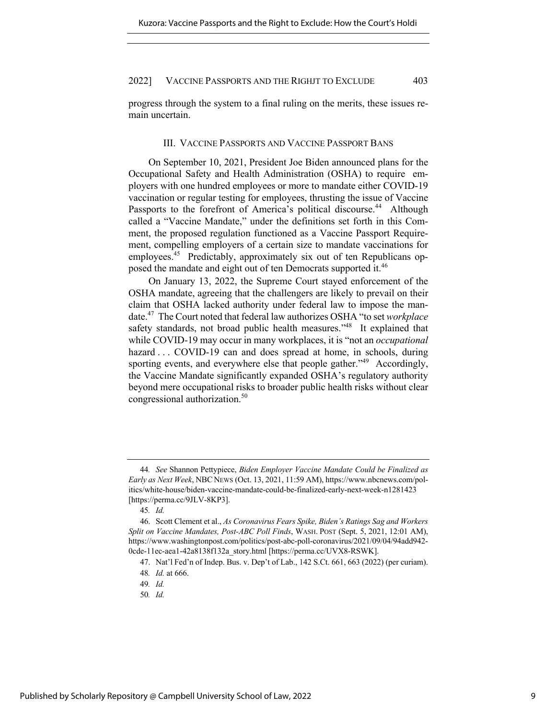progress through the system to a final ruling on the merits, these issues remain uncertain.

#### III. VACCINE PASSPORTS AND VACCINE PASSPORT BANS

On September 10, 2021, President Joe Biden announced plans for the Occupational Safety and Health Administration (OSHA) to require employers with one hundred employees or more to mandate either COVID-19 vaccination or regular testing for employees, thrusting the issue of Vaccine Passports to the forefront of America's political discourse.<sup>44</sup> Although called a "Vaccine Mandate," under the definitions set forth in this Comment, the proposed regulation functioned as a Vaccine Passport Requirement, compelling employers of a certain size to mandate vaccinations for employees.<sup>45</sup> Predictably, approximately six out of ten Republicans opposed the mandate and eight out of ten Democrats supported it.<sup>46</sup>

On January 13, 2022, the Supreme Court stayed enforcement of the OSHA mandate, agreeing that the challengers are likely to prevail on their claim that OSHA lacked authority under federal law to impose the mandate.47 The Court noted that federal law authorizes OSHA "to set *workplace* safety standards, not broad public health measures."<sup>48</sup> It explained that while COVID-19 may occur in many workplaces, it is "not an *occupational*  hazard . . . COVID-19 can and does spread at home, in schools, during sporting events, and everywhere else that people gather."<sup>49</sup> Accordingly, the Vaccine Mandate significantly expanded OSHA's regulatory authority beyond mere occupational risks to broader public health risks without clear congressional authorization.<sup>50</sup>

<sup>44</sup>*. See* Shannon Pettypiece, *Biden Employer Vaccine Mandate Could be Finalized as Early as Next Week*, NBC NEWS (Oct. 13, 2021, 11:59 AM), https://www.nbcnews.com/politics/white-house/biden-vaccine-mandate-could-be-finalized-early-next-week-n1281423 [https://perma.cc/9JLV-8KP3].

<sup>45</sup>*. Id.*

<sup>46.</sup> Scott Clement et al., *As Coronavirus Fears Spike, Biden's Ratings Sag and Workers Split on Vaccine Mandates, Post-ABC Poll Finds*, WASH. POST (Sept. 5, 2021, 12:01 AM), https://www.washingtonpost.com/politics/post-abc-poll-coronavirus/2021/09/04/94add942- 0cde-11ec-aea1-42a8138f132a\_story.html [https://perma.cc/UVX8-RSWK].

<sup>47.</sup> Nat'l Fed'n of Indep. Bus. v. Dep't of Lab., 142 S.Ct. 661, 663 (2022) (per curiam).

<sup>48</sup>*. Id.* at 666.

<sup>49</sup>*. Id.*

<sup>50</sup>*. Id.*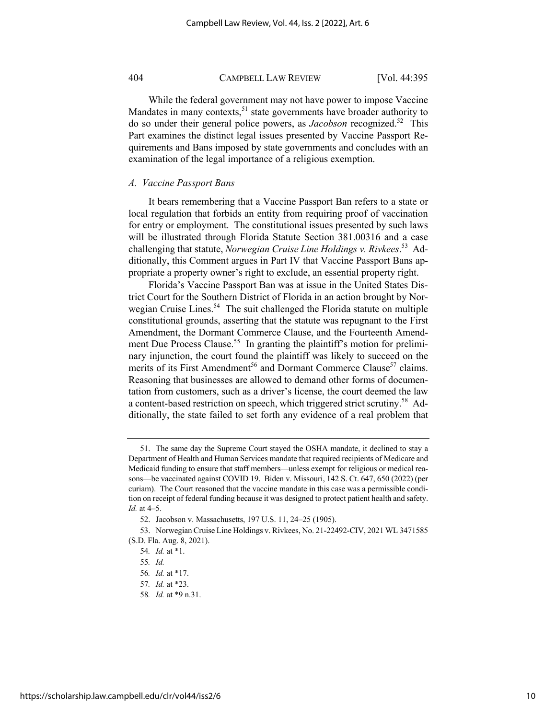While the federal government may not have power to impose Vaccine Mandates in many contexts, $51$  state governments have broader authority to do so under their general police powers, as *Jacobson* recognized.52 This Part examines the distinct legal issues presented by Vaccine Passport Requirements and Bans imposed by state governments and concludes with an examination of the legal importance of a religious exemption.

#### *A. Vaccine Passport Bans*

It bears remembering that a Vaccine Passport Ban refers to a state or local regulation that forbids an entity from requiring proof of vaccination for entry or employment. The constitutional issues presented by such laws will be illustrated through Florida Statute Section 381.00316 and a case challenging that statute, *Norwegian Cruise Line Holdings v. Rivkees*. 53 Additionally, this Comment argues in Part IV that Vaccine Passport Bans appropriate a property owner's right to exclude, an essential property right.

Florida's Vaccine Passport Ban was at issue in the United States District Court for the Southern District of Florida in an action brought by Norwegian Cruise Lines.<sup>54</sup> The suit challenged the Florida statute on multiple constitutional grounds, asserting that the statute was repugnant to the First Amendment, the Dormant Commerce Clause, and the Fourteenth Amendment Due Process Clause.<sup>55</sup> In granting the plaintiff's motion for preliminary injunction, the court found the plaintiff was likely to succeed on the merits of its First Amendment<sup>56</sup> and Dormant Commerce Clause<sup>57</sup> claims. Reasoning that businesses are allowed to demand other forms of documentation from customers, such as a driver's license, the court deemed the law a content-based restriction on speech, which triggered strict scrutiny.<sup>58</sup> Additionally, the state failed to set forth any evidence of a real problem that

<sup>51.</sup> The same day the Supreme Court stayed the OSHA mandate, it declined to stay a Department of Health and Human Services mandate that required recipients of Medicare and Medicaid funding to ensure that staff members—unless exempt for religious or medical reasons—be vaccinated against COVID 19. Biden v. Missouri, 142 S. Ct. 647, 650 (2022) (per curiam). The Court reasoned that the vaccine mandate in this case was a permissible condition on receipt of federal funding because it was designed to protect patient health and safety. *Id.* at 4–5.

<sup>52.</sup> Jacobson v. Massachusetts, 197 U.S. 11, 24–25 (1905).

<sup>53.</sup> Norwegian Cruise Line Holdings v. Rivkees, No. 21-22492-CIV, 2021 WL 3471585 (S.D. Fla. Aug. 8, 2021).

<sup>54</sup>*. Id.* at \*1.

<sup>55</sup>*. Id.*

<sup>56</sup>*. Id.* at \*17.

<sup>57</sup>*. Id.* at \*23.

<sup>58</sup>*. Id.* at \*9 n.31.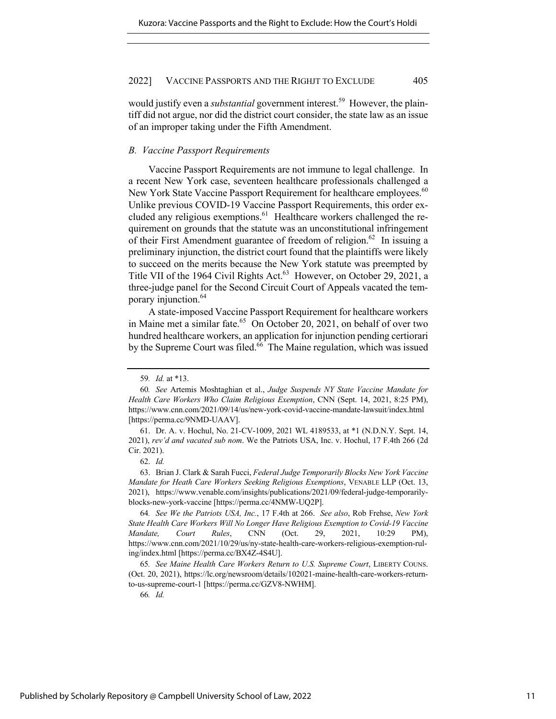would justify even a *substantial* government interest.<sup>59</sup> However, the plaintiff did not argue, nor did the district court consider, the state law as an issue of an improper taking under the Fifth Amendment.

#### *B. Vaccine Passport Requirements*

Vaccine Passport Requirements are not immune to legal challenge. In a recent New York case, seventeen healthcare professionals challenged a New York State Vaccine Passport Requirement for healthcare employees.<sup>60</sup> Unlike previous COVID-19 Vaccine Passport Requirements, this order excluded any religious exemptions.<sup>61</sup> Healthcare workers challenged the requirement on grounds that the statute was an unconstitutional infringement of their First Amendment guarantee of freedom of religion.<sup>62</sup> In issuing a preliminary injunction, the district court found that the plaintiffs were likely to succeed on the merits because the New York statute was preempted by Title VII of the 1964 Civil Rights Act.<sup>63</sup> However, on October 29, 2021, a three-judge panel for the Second Circuit Court of Appeals vacated the temporary injunction.<sup>64</sup>

A state-imposed Vaccine Passport Requirement for healthcare workers in Maine met a similar fate.<sup>65</sup> On October 20, 2021, on behalf of over two hundred healthcare workers, an application for injunction pending certiorari by the Supreme Court was filed.<sup>66</sup> The Maine regulation, which was issued

63. Brian J. Clark & Sarah Fucci, *Federal Judge Temporarily Blocks New York Vaccine Mandate for Heath Care Workers Seeking Religious Exemptions*, VENABLE LLP (Oct. 13, 2021), https://www.venable.com/insights/publications/2021/09/federal-judge-temporarilyblocks-new-york-vaccine [https://perma.cc/4NMW-UQ2P].

64*. See We the Patriots USA, Inc.*, 17 F.4th at 266. *See also*, Rob Frehse, *New York State Health Care Workers Will No Longer Have Religious Exemption to Covid-19 Vaccine Mandate, Court Rules*, CNN (Oct. 29, 2021, 10:29 PM), https://www.cnn.com/2021/10/29/us/ny-state-health-care-workers-religious-exemption-ruling/index.html [https://perma.cc/BX4Z-4S4U].

65*. See Maine Health Care Workers Return to U.S. Supreme Court*, LIBERTY COUNS. (Oct. 20, 2021), https://lc.org/newsroom/details/102021-maine-health-care-workers-returnto-us-supreme-court-1 [https://perma.cc/GZV8-NWHM].

66*. Id.*

<sup>59</sup>*. Id.* at \*13.

<sup>60</sup>*. See* Artemis Moshtaghian et al., *Judge Suspends NY State Vaccine Mandate for Health Care Workers Who Claim Religious Exemption*, CNN (Sept. 14, 2021, 8:25 PM), https://www.cnn.com/2021/09/14/us/new-york-covid-vaccine-mandate-lawsuit/index.html [https://perma.cc/9NMD-UAAV].

<sup>61.</sup> Dr. A. v. Hochul, No. 21-CV-1009, 2021 WL 4189533, at \*1 (N.D.N.Y. Sept. 14, 2021), *rev'd and vacated sub nom*. We the Patriots USA, Inc. v. Hochul, 17 F.4th 266 (2d Cir. 2021).

<sup>62.</sup> *Id.*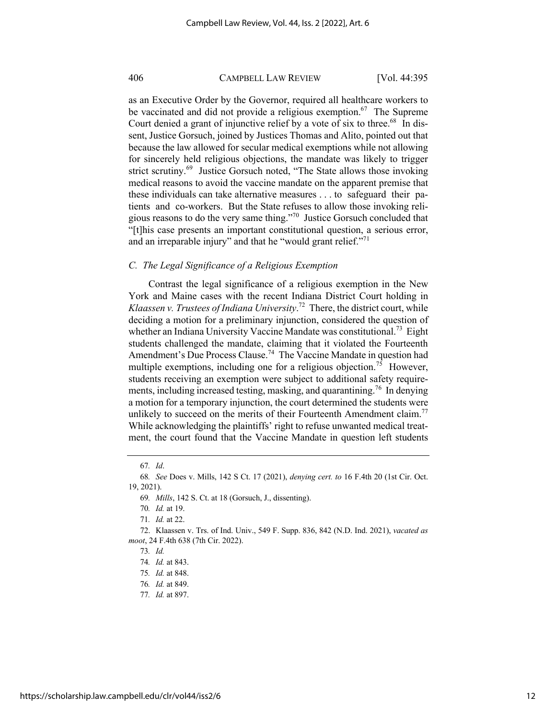as an Executive Order by the Governor, required all healthcare workers to be vaccinated and did not provide a religious exemption.<sup>67</sup> The Supreme Court denied a grant of injunctive relief by a vote of six to three.<sup>68</sup> In dissent, Justice Gorsuch, joined by Justices Thomas and Alito, pointed out that because the law allowed for secular medical exemptions while not allowing for sincerely held religious objections, the mandate was likely to trigger strict scrutiny.<sup>69</sup> Justice Gorsuch noted, "The State allows those invoking medical reasons to avoid the vaccine mandate on the apparent premise that these individuals can take alternative measures . . . to safeguard their patients and co-workers. But the State refuses to allow those invoking religious reasons to do the very same thing."70 Justice Gorsuch concluded that "[t]his case presents an important constitutional question, a serious error, and an irreparable injury" and that he "would grant relief. $171$ 

#### *C. The Legal Significance of a Religious Exemption*

Contrast the legal significance of a religious exemption in the New York and Maine cases with the recent Indiana District Court holding in *Klaassen v. Trustees of Indiana University*. 72 There, the district court, while deciding a motion for a preliminary injunction, considered the question of whether an Indiana University Vaccine Mandate was constitutional.<sup>73</sup> Eight students challenged the mandate, claiming that it violated the Fourteenth Amendment's Due Process Clause.<sup>74</sup> The Vaccine Mandate in question had multiple exemptions, including one for a religious objection.<sup>75</sup> However, students receiving an exemption were subject to additional safety requirements, including increased testing, masking, and quarantining.76 In denying a motion for a temporary injunction, the court determined the students were unlikely to succeed on the merits of their Fourteenth Amendment claim.<sup>77</sup> While acknowledging the plaintiffs' right to refuse unwanted medical treatment, the court found that the Vaccine Mandate in question left students

<sup>67</sup>*. Id*.

<sup>68</sup>*. See* Does v. Mills, 142 S Ct. 17 (2021), *denying cert. to* 16 F.4th 20 (1st Cir. Oct. 19, 2021).

<sup>69</sup>*. Mills*, 142 S. Ct. at 18 (Gorsuch, J., dissenting).

<sup>70</sup>*. Id.* at 19.

<sup>71</sup>*. Id.* at 22.

<sup>72.</sup> Klaassen v. Trs. of Ind. Univ., 549 F. Supp. 836, 842 (N.D. Ind. 2021), *vacated as moot*, 24 F.4th 638 (7th Cir. 2022).

<sup>73</sup>*. Id.*

<sup>74</sup>*. Id.* at 843.

<sup>75</sup>*. Id.* at 848.

<sup>76</sup>*. Id.* at 849.

<sup>77</sup>*. Id.* at 897.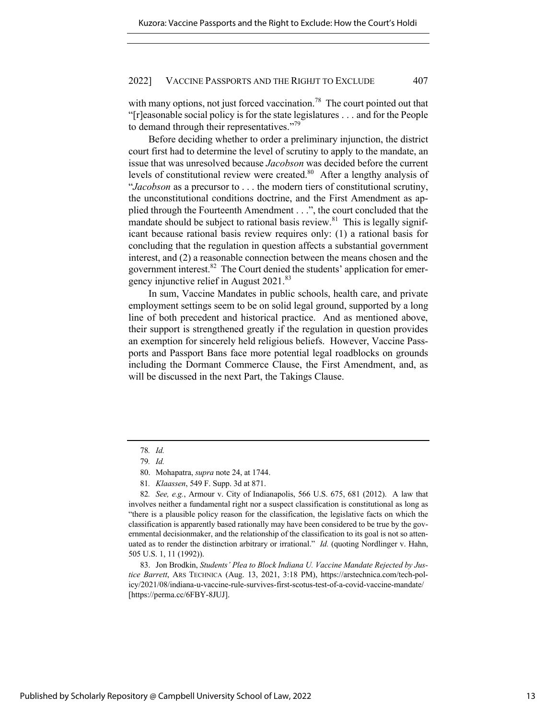with many options, not just forced vaccination.<sup>78</sup> The court pointed out that "[r]easonable social policy is for the state legislatures . . . and for the People to demand through their representatives."<sup>79</sup>

Before deciding whether to order a preliminary injunction, the district court first had to determine the level of scrutiny to apply to the mandate, an issue that was unresolved because *Jacobson* was decided before the current levels of constitutional review were created.<sup>80</sup> After a lengthy analysis of "*Jacobson* as a precursor to . . . the modern tiers of constitutional scrutiny, the unconstitutional conditions doctrine, and the First Amendment as applied through the Fourteenth Amendment . . .", the court concluded that the mandate should be subject to rational basis review.<sup>81</sup> This is legally significant because rational basis review requires only: (1) a rational basis for concluding that the regulation in question affects a substantial government interest, and (2) a reasonable connection between the means chosen and the government interest. $82$  The Court denied the students' application for emergency injunctive relief in August 2021.<sup>83</sup>

In sum, Vaccine Mandates in public schools, health care, and private employment settings seem to be on solid legal ground, supported by a long line of both precedent and historical practice. And as mentioned above, their support is strengthened greatly if the regulation in question provides an exemption for sincerely held religious beliefs. However, Vaccine Passports and Passport Bans face more potential legal roadblocks on grounds including the Dormant Commerce Clause, the First Amendment, and, as will be discussed in the next Part, the Takings Clause.

82*. See, e.g.*, Armour v. City of Indianapolis, 566 U.S. 675, 681 (2012). A law that involves neither a fundamental right nor a suspect classification is constitutional as long as "there is a plausible policy reason for the classification, the legislative facts on which the classification is apparently based rationally may have been considered to be true by the governmental decisionmaker, and the relationship of the classification to its goal is not so attenuated as to render the distinction arbitrary or irrational." *Id.* (quoting Nordlinger v. Hahn, 505 U.S. 1, 11 (1992)).

83. Jon Brodkin, *Students' Plea to Block Indiana U. Vaccine Mandate Rejected by Justice Barrett*, ARS TECHNICA (Aug. 13, 2021, 3:18 PM), https://arstechnica.com/tech-policy/2021/08/indiana-u-vaccine-rule-survives-first-scotus-test-of-a-covid-vaccine-mandate/ [https://perma.cc/6FBY-8JUJ].

<sup>78</sup>*. Id.*

<sup>79</sup>*. Id.*

<sup>80.</sup> Mohapatra, *supra* note 24, at 1744.

<sup>81</sup>*. Klaassen*, 549 F. Supp. 3d at 871.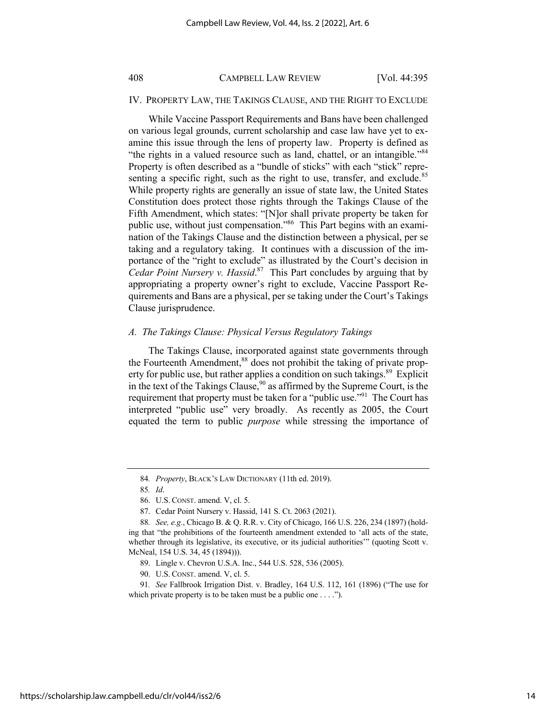#### IV. PROPERTY LAW, THE TAKINGS CLAUSE, AND THE RIGHT TO EXCLUDE

While Vaccine Passport Requirements and Bans have been challenged on various legal grounds, current scholarship and case law have yet to examine this issue through the lens of property law. Property is defined as "the rights in a valued resource such as land, chattel, or an intangible."<sup>84</sup> Property is often described as a "bundle of sticks" with each "stick" representing a specific right, such as the right to use, transfer, and exclude.<sup>85</sup> While property rights are generally an issue of state law, the United States Constitution does protect those rights through the Takings Clause of the Fifth Amendment, which states: "[N]or shall private property be taken for public use, without just compensation."86 This Part begins with an examination of the Takings Clause and the distinction between a physical, per se taking and a regulatory taking. It continues with a discussion of the importance of the "right to exclude" as illustrated by the Court's decision in *Cedar Point Nursery v. Hassid*. 87 This Part concludes by arguing that by appropriating a property owner's right to exclude, Vaccine Passport Requirements and Bans are a physical, per se taking under the Court's Takings Clause jurisprudence.

#### *A. The Takings Clause: Physical Versus Regulatory Takings*

The Takings Clause, incorporated against state governments through the Fourteenth Amendment,<sup>88</sup> does not prohibit the taking of private property for public use, but rather applies a condition on such takings.<sup>89</sup> Explicit in the text of the Takings Clause,  $90^\circ$  as affirmed by the Supreme Court, is the requirement that property must be taken for a "public use."<sup>91</sup> The Court has interpreted "public use" very broadly. As recently as 2005, the Court equated the term to public *purpose* while stressing the importance of

<sup>84</sup>*. Property*, BLACK'S LAW DICTIONARY (11th ed. 2019).

<sup>85</sup>*. Id*.

<sup>86.</sup> U.S. CONST. amend. V, cl. 5.

<sup>87.</sup> Cedar Point Nursery v. Hassid, 141 S. Ct. 2063 (2021).

<sup>88</sup>*. See, e.g.*, Chicago B. & Q. R.R. v. City of Chicago, 166 U.S. 226, 234 (1897) (holding that "the prohibitions of the fourteenth amendment extended to 'all acts of the state, whether through its legislative, its executive, or its judicial authorities'" (quoting Scott v. McNeal, 154 U.S. 34, 45 (1894))).

<sup>89.</sup> Lingle v. Chevron U.S.A. Inc., 544 U.S. 528, 536 (2005).

<sup>90.</sup> U.S. CONST. amend. V, cl. 5.

<sup>91</sup>*. See* Fallbrook Irrigation Dist. v. Bradley, 164 U.S. 112, 161 (1896) ("The use for which private property is to be taken must be a public one . . . .").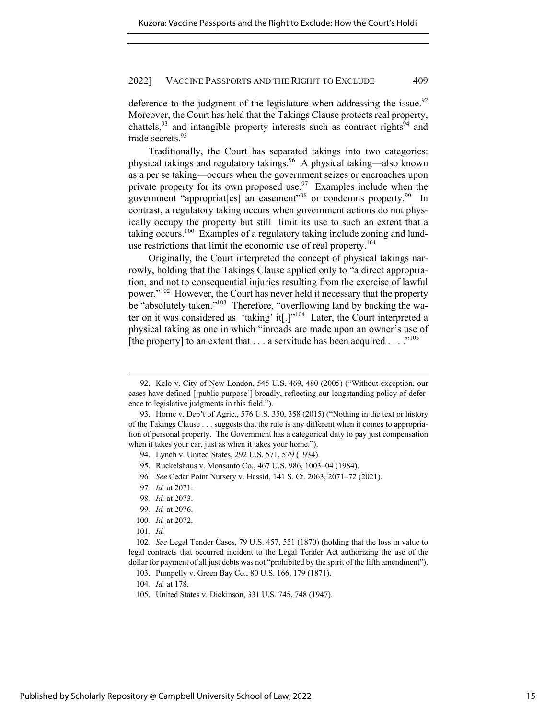deference to the judgment of the legislature when addressing the issue.<sup>92</sup> Moreover, the Court has held that the Takings Clause protects real property, chattels,  $93$  and intangible property interests such as contract rights  $94$  and trade secrets.<sup>95</sup>

Traditionally, the Court has separated takings into two categories: physical takings and regulatory takings.96 A physical taking—also known as a per se taking—occurs when the government seizes or encroaches upon private property for its own proposed use.<sup>97</sup> Examples include when the government "appropriat[es] an easement"<sup>98</sup> or condemns property.<sup>99</sup> In contrast, a regulatory taking occurs when government actions do not physically occupy the property but still limit its use to such an extent that a taking occurs.<sup>100</sup> Examples of a regulatory taking include zoning and landuse restrictions that limit the economic use of real property.<sup>101</sup>

Originally, the Court interpreted the concept of physical takings narrowly, holding that the Takings Clause applied only to "a direct appropriation, and not to consequential injuries resulting from the exercise of lawful power."<sup>102</sup> However, the Court has never held it necessary that the property be "absolutely taken."<sup>103</sup> Therefore, "overflowing land by backing the water on it was considered as 'taking' it[.]"104 Later, the Court interpreted a physical taking as one in which "inroads are made upon an owner's use of [the property] to an extent that  $\dots$  a servitude has been acquired  $\dots$ ."<sup>105</sup>

- 95. Ruckelshaus v. Monsanto Co., 467 U.S. 986, 1003–04 (1984).
- 96*. See* Cedar Point Nursery v. Hassid, 141 S. Ct. 2063, 2071–72 (2021).

- 99*. Id.* at 2076.
- 100*. Id.* at 2072.
- 101*. Id.*

102*. See* Legal Tender Cases, 79 U.S. 457, 551 (1870) (holding that the loss in value to legal contracts that occurred incident to the Legal Tender Act authorizing the use of the dollar for payment of all just debts was not "prohibited by the spirit of the fifth amendment").

103. Pumpelly v. Green Bay Co., 80 U.S. 166, 179 (1871).

- 104*. Id.* at 178.
- 105. United States v. Dickinson, 331 U.S. 745, 748 (1947).

<sup>92.</sup> Kelo v. City of New London, 545 U.S. 469, 480 (2005) ("Without exception, our cases have defined ['public purpose'] broadly, reflecting our longstanding policy of deference to legislative judgments in this field.").

<sup>93.</sup> Horne v. Dep't of Agric., 576 U.S. 350, 358 (2015) ("Nothing in the text or history of the Takings Clause . . . suggests that the rule is any different when it comes to appropriation of personal property. The Government has a categorical duty to pay just compensation when it takes your car, just as when it takes your home.").

<sup>94.</sup> Lynch v. United States, 292 U.S. 571, 579 (1934).

<sup>97</sup>*. Id.* at 2071.

<sup>98</sup>*. Id.* at 2073.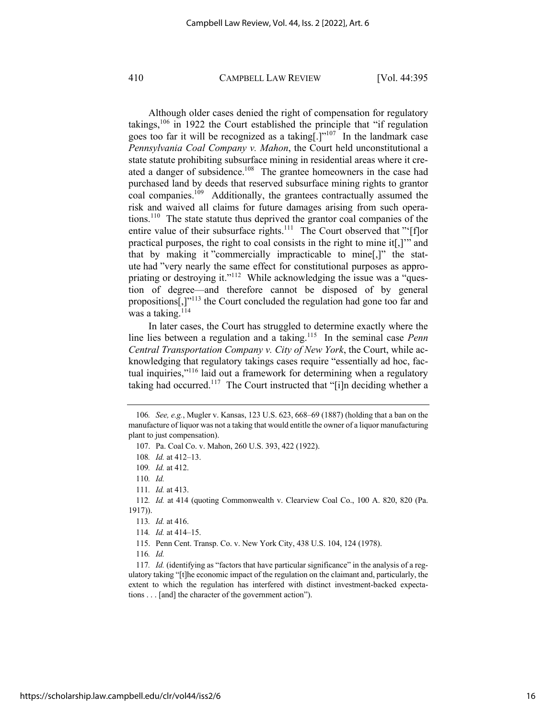Although older cases denied the right of compensation for regulatory takings,<sup>106</sup> in 1922 the Court established the principle that "if regulation goes too far it will be recognized as a taking<sup>[1]"107</sup> In the landmark case *Pennsylvania Coal Company v. Mahon*, the Court held unconstitutional a state statute prohibiting subsurface mining in residential areas where it created a danger of subsidence.<sup>108</sup> The grantee homeowners in the case had purchased land by deeds that reserved subsurface mining rights to grantor coal companies.109 Additionally, the grantees contractually assumed the risk and waived all claims for future damages arising from such operations.110 The state statute thus deprived the grantor coal companies of the entire value of their subsurface rights.<sup>111</sup> The Court observed that "'[f]or practical purposes, the right to coal consists in the right to mine it[,]'" and that by making it "commercially impracticable to mine[,]" the statute had "very nearly the same effect for constitutional purposes as appropriating or destroying it."<sup>112</sup> While acknowledging the issue was a "question of degree—and therefore cannot be disposed of by general propositions[,]"113 the Court concluded the regulation had gone too far and was a taking. $114$ 

In later cases, the Court has struggled to determine exactly where the line lies between a regulation and a taking.<sup>115</sup> In the seminal case *Penn Central Transportation Company v. City of New York*, the Court, while acknowledging that regulatory takings cases require "essentially ad hoc, factual inquiries,"<sup>116</sup> laid out a framework for determining when a regulatory taking had occurred.<sup>117</sup> The Court instructed that "[i]n deciding whether a

111*. Id.* at 413.

112*. Id.* at 414 (quoting Commonwealth v. Clearview Coal Co., 100 A. 820, 820 (Pa. 1917)).

116*. Id.*

117*. Id.* (identifying as "factors that have particular significance" in the analysis of a regulatory taking "[t]he economic impact of the regulation on the claimant and, particularly, the extent to which the regulation has interfered with distinct investment-backed expectations . . . [and] the character of the government action").

<sup>106</sup>*. See, e.g.*, Mugler v. Kansas, 123 U.S. 623, 668–69 (1887) (holding that a ban on the manufacture of liquor was not a taking that would entitle the owner of a liquor manufacturing plant to just compensation).

<sup>107.</sup> Pa. Coal Co. v. Mahon, 260 U.S. 393, 422 (1922).

<sup>108</sup>*. Id.* at 412–13.

<sup>109</sup>*. Id.* at 412.

<sup>110</sup>*. Id.*

<sup>113</sup>*. Id.* at 416.

<sup>114</sup>*. Id.* at 414–15.

<sup>115.</sup> Penn Cent. Transp. Co. v. New York City, 438 U.S. 104, 124 (1978).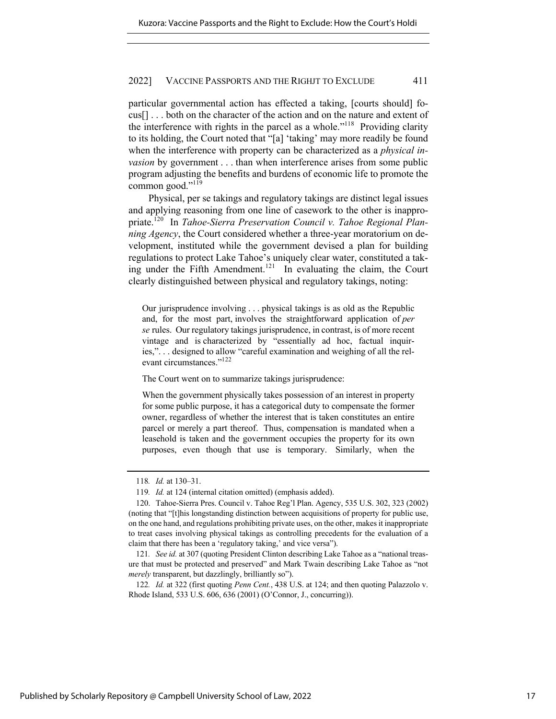particular governmental action has effected a taking, [courts should] focus[] . . . both on the character of the action and on the nature and extent of the interference with rights in the parcel as a whole."<sup>118</sup> Providing clarity to its holding, the Court noted that "[a] 'taking' may more readily be found when the interference with property can be characterized as a *physical invasion* by government . . . than when interference arises from some public program adjusting the benefits and burdens of economic life to promote the common good."<sup>119</sup>

Physical, per se takings and regulatory takings are distinct legal issues and applying reasoning from one line of casework to the other is inappropriate.120 In *Tahoe-Sierra Preservation Council v. Tahoe Regional Planning Agency*, the Court considered whether a three-year moratorium on development, instituted while the government devised a plan for building regulations to protect Lake Tahoe's uniquely clear water, constituted a taking under the Fifth Amendment.<sup>121</sup> In evaluating the claim, the Court clearly distinguished between physical and regulatory takings, noting:

Our jurisprudence involving . . . physical takings is as old as the Republic and, for the most part, involves the straightforward application of *per se* rules. Our regulatory takings jurisprudence, in contrast, is of more recent vintage and is characterized by "essentially ad hoc, factual inquiries,". . . designed to allow "careful examination and weighing of all the relevant circumstances."<sup>122</sup>

The Court went on to summarize takings jurisprudence:

When the government physically takes possession of an interest in property for some public purpose, it has a categorical duty to compensate the former owner, regardless of whether the interest that is taken constitutes an entire parcel or merely a part thereof. Thus, compensation is mandated when a leasehold is taken and the government occupies the property for its own purposes, even though that use is temporary. Similarly, when the

<sup>118</sup>*. Id.* at 130–31.

<sup>119</sup>*. Id.* at 124 (internal citation omitted) (emphasis added).

<sup>120.</sup> Tahoe-Sierra Pres. Council v. Tahoe Reg'l Plan. Agency, 535 U.S. 302, 323 (2002) (noting that "[t]his longstanding distinction between acquisitions of property for public use, on the one hand, and regulations prohibiting private uses, on the other, makes it inappropriate to treat cases involving physical takings as controlling precedents for the evaluation of a claim that there has been a 'regulatory taking,' and vice versa").

<sup>121</sup>*. See id.* at 307 (quoting President Clinton describing Lake Tahoe as a "national treasure that must be protected and preserved" and Mark Twain describing Lake Tahoe as "not *merely* transparent, but dazzlingly, brilliantly so").

<sup>122</sup>*. Id.* at 322 (first quoting *Penn Cent.*, 438 U.S. at 124; and then quoting Palazzolo v. Rhode Island, 533 U.S. 606, 636 (2001) (O'Connor, J., concurring)).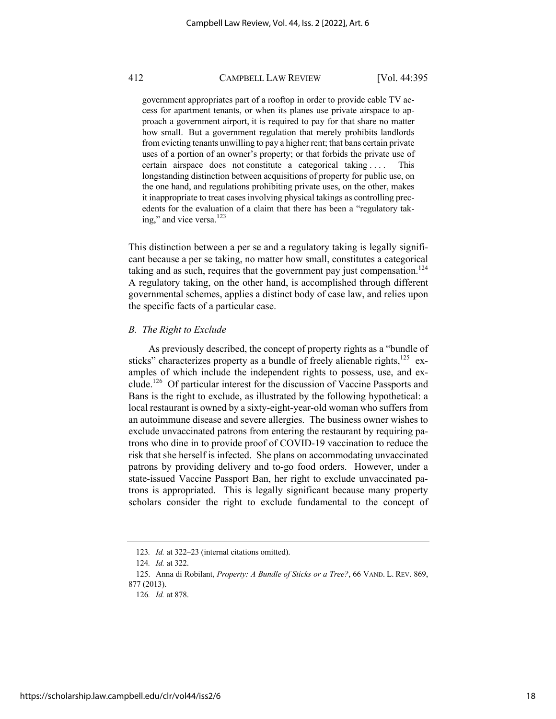government appropriates part of a rooftop in order to provide cable TV access for apartment tenants, or when its planes use private airspace to approach a government airport, it is required to pay for that share no matter how small. But a government regulation that merely prohibits landlords from evicting tenants unwilling to pay a higher rent; that bans certain private uses of a portion of an owner's property; or that forbids the private use of certain airspace does not constitute a categorical taking . . . . This longstanding distinction between acquisitions of property for public use, on the one hand, and regulations prohibiting private uses, on the other, makes it inappropriate to treat cases involving physical takings as controlling precedents for the evaluation of a claim that there has been a "regulatory taking," and vice versa.<sup>123</sup>

This distinction between a per se and a regulatory taking is legally significant because a per se taking, no matter how small, constitutes a categorical taking and as such, requires that the government pay just compensation.<sup>124</sup> A regulatory taking, on the other hand, is accomplished through different governmental schemes, applies a distinct body of case law, and relies upon the specific facts of a particular case.

#### *B. The Right to Exclude*

As previously described, the concept of property rights as a "bundle of sticks" characterizes property as a bundle of freely alienable rights, $125$  examples of which include the independent rights to possess, use, and exclude.126 Of particular interest for the discussion of Vaccine Passports and Bans is the right to exclude, as illustrated by the following hypothetical: a local restaurant is owned by a sixty-eight-year-old woman who suffers from an autoimmune disease and severe allergies. The business owner wishes to exclude unvaccinated patrons from entering the restaurant by requiring patrons who dine in to provide proof of COVID-19 vaccination to reduce the risk that she herself is infected. She plans on accommodating unvaccinated patrons by providing delivery and to-go food orders. However, under a state-issued Vaccine Passport Ban, her right to exclude unvaccinated patrons is appropriated. This is legally significant because many property scholars consider the right to exclude fundamental to the concept of

<sup>123</sup>*. Id.* at 322–23 (internal citations omitted).

<sup>124</sup>*. Id.* at 322.

<sup>125.</sup> Anna di Robilant, *Property: A Bundle of Sticks or a Tree?*, 66 VAND. L. REV. 869, 877 (2013).

<sup>126</sup>*. Id.* at 878.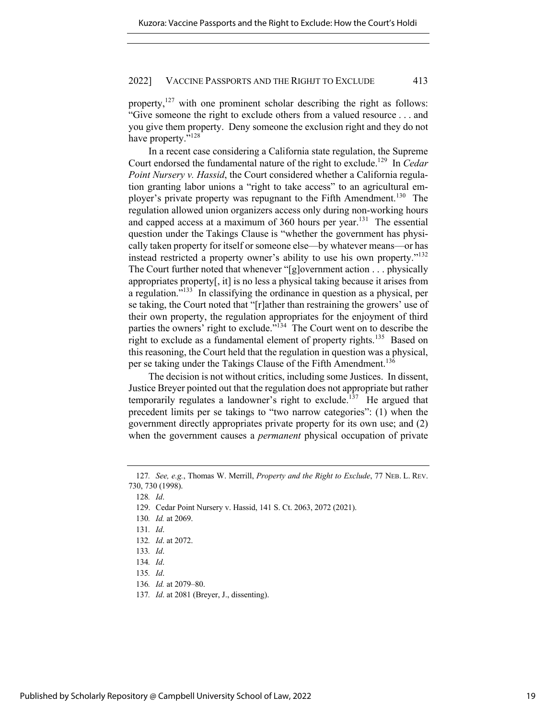property,<sup>127</sup> with one prominent scholar describing the right as follows: "Give someone the right to exclude others from a valued resource . . . and you give them property. Deny someone the exclusion right and they do not have property."<sup>128</sup>

In a recent case considering a California state regulation, the Supreme Court endorsed the fundamental nature of the right to exclude.129 In *Cedar Point Nursery v. Hassid*, the Court considered whether a California regulation granting labor unions a "right to take access" to an agricultural employer's private property was repugnant to the Fifth Amendment.<sup>130</sup> The regulation allowed union organizers access only during non-working hours and capped access at a maximum of  $360$  hours per year.<sup>131</sup> The essential question under the Takings Clause is "whether the government has physically taken property for itself or someone else—by whatever means—or has instead restricted a property owner's ability to use his own property."<sup>132</sup> The Court further noted that whenever "[g]overnment action . . . physically appropriates property[, it] is no less a physical taking because it arises from a regulation."133 In classifying the ordinance in question as a physical, per se taking, the Court noted that "[r]ather than restraining the growers' use of their own property, the regulation appropriates for the enjoyment of third parties the owners' right to exclude."134 The Court went on to describe the right to exclude as a fundamental element of property rights.<sup>135</sup> Based on this reasoning, the Court held that the regulation in question was a physical, per se taking under the Takings Clause of the Fifth Amendment.<sup>136</sup>

The decision is not without critics, including some Justices. In dissent, Justice Breyer pointed out that the regulation does not appropriate but rather temporarily regulates a landowner's right to exclude.<sup>137</sup> He argued that precedent limits per se takings to "two narrow categories": (1) when the government directly appropriates private property for its own use; and (2) when the government causes a *permanent* physical occupation of private

<sup>127</sup>*. See, e.g.*, Thomas W. Merrill, *Property and the Right to Exclude*, 77 NEB. L. REV. 730, 730 (1998).

<sup>128</sup>*. Id*.

<sup>129.</sup> Cedar Point Nursery v. Hassid, 141 S. Ct. 2063, 2072 (2021).

<sup>130</sup>*. Id.* at 2069.

<sup>131</sup>*. Id*.

<sup>132</sup>*. Id*. at 2072.

<sup>133</sup>*. Id*.

<sup>134</sup>*. Id*.

<sup>135</sup>*. Id*.

<sup>136</sup>*. Id.* at 2079–80.

<sup>137</sup>*. Id*. at 2081 (Breyer, J., dissenting).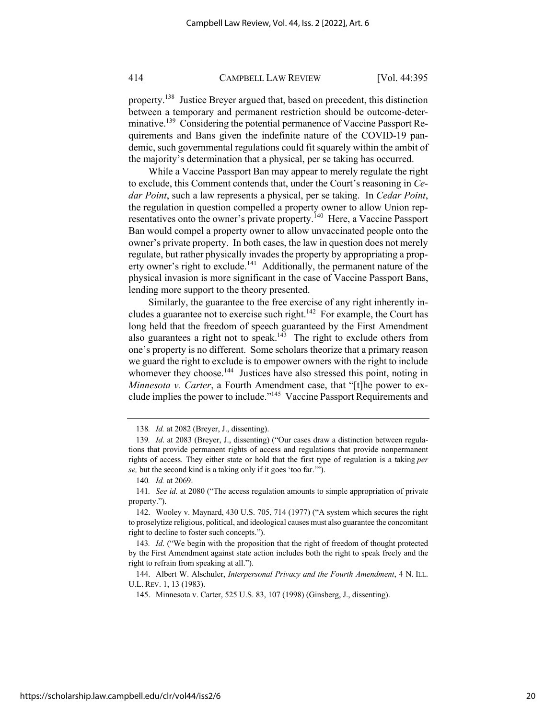property.138 Justice Breyer argued that, based on precedent, this distinction between a temporary and permanent restriction should be outcome-determinative.<sup>139</sup> Considering the potential permanence of Vaccine Passport Requirements and Bans given the indefinite nature of the COVID-19 pandemic, such governmental regulations could fit squarely within the ambit of the majority's determination that a physical, per se taking has occurred.

While a Vaccine Passport Ban may appear to merely regulate the right to exclude, this Comment contends that, under the Court's reasoning in *Cedar Point*, such a law represents a physical, per se taking. In *Cedar Point*, the regulation in question compelled a property owner to allow Union representatives onto the owner's private property.<sup>140</sup> Here, a Vaccine Passport Ban would compel a property owner to allow unvaccinated people onto the owner's private property. In both cases, the law in question does not merely regulate, but rather physically invades the property by appropriating a property owner's right to exclude.<sup>141</sup> Additionally, the permanent nature of the physical invasion is more significant in the case of Vaccine Passport Bans, lending more support to the theory presented.

Similarly, the guarantee to the free exercise of any right inherently includes a guarantee not to exercise such right.<sup>142</sup> For example, the Court has long held that the freedom of speech guaranteed by the First Amendment also guarantees a right not to speak.<sup>143</sup> The right to exclude others from one's property is no different. Some scholars theorize that a primary reason we guard the right to exclude is to empower owners with the right to include whomever they choose.<sup>144</sup> Justices have also stressed this point, noting in *Minnesota v. Carter*, a Fourth Amendment case, that "[t]he power to exclude implies the power to include."145 Vaccine Passport Requirements and

140*. Id.* at 2069.

144. Albert W. Alschuler, *Interpersonal Privacy and the Fourth Amendment*, 4 N. ILL. U.L. REV. 1, 13 (1983).

<sup>138</sup>*. Id.* at 2082 (Breyer, J., dissenting).

<sup>139</sup>*. Id*. at 2083 (Breyer, J., dissenting) ("Our cases draw a distinction between regulations that provide permanent rights of access and regulations that provide nonpermanent rights of access. They either state or hold that the first type of regulation is a taking *per se,* but the second kind is a taking only if it goes 'too far.'").

<sup>141</sup>*. See id.* at 2080 ("The access regulation amounts to simple appropriation of private property.").

<sup>142.</sup> Wooley v. Maynard, 430 U.S. 705, 714 (1977) ("A system which secures the right to proselytize religious, political, and ideological causes must also guarantee the concomitant right to decline to foster such concepts.").

<sup>143</sup>*. Id*. ("We begin with the proposition that the right of freedom of thought protected by the First Amendment against state action includes both the right to speak freely and the right to refrain from speaking at all.").

<sup>145.</sup> Minnesota v. Carter, 525 U.S. 83, 107 (1998) (Ginsberg, J., dissenting).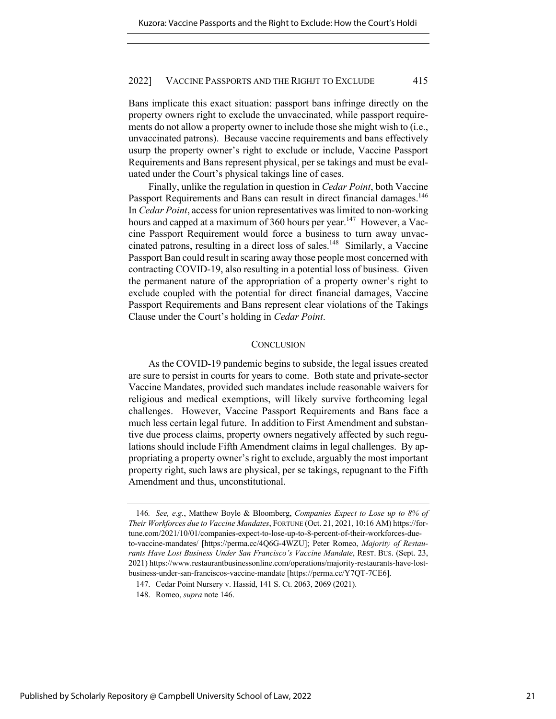Bans implicate this exact situation: passport bans infringe directly on the property owners right to exclude the unvaccinated, while passport requirements do not allow a property owner to include those she might wish to (i.e., unvaccinated patrons). Because vaccine requirements and bans effectively usurp the property owner's right to exclude or include, Vaccine Passport Requirements and Bans represent physical, per se takings and must be evaluated under the Court's physical takings line of cases.

Finally, unlike the regulation in question in *Cedar Point*, both Vaccine Passport Requirements and Bans can result in direct financial damages.<sup>146</sup> In *Cedar Point*, access for union representatives was limited to non-working hours and capped at a maximum of 360 hours per year.<sup>147</sup> However, a Vaccine Passport Requirement would force a business to turn away unvaccinated patrons, resulting in a direct loss of sales.148 Similarly, a Vaccine Passport Ban could result in scaring away those people most concerned with contracting COVID-19, also resulting in a potential loss of business. Given the permanent nature of the appropriation of a property owner's right to exclude coupled with the potential for direct financial damages, Vaccine Passport Requirements and Bans represent clear violations of the Takings Clause under the Court's holding in *Cedar Point*.

#### **CONCLUSION**

As the COVID-19 pandemic begins to subside, the legal issues created are sure to persist in courts for years to come. Both state and private-sector Vaccine Mandates, provided such mandates include reasonable waivers for religious and medical exemptions, will likely survive forthcoming legal challenges. However, Vaccine Passport Requirements and Bans face a much less certain legal future. In addition to First Amendment and substantive due process claims, property owners negatively affected by such regulations should include Fifth Amendment claims in legal challenges. By appropriating a property owner's right to exclude, arguably the most important property right, such laws are physical, per se takings, repugnant to the Fifth Amendment and thus, unconstitutional.

<sup>146</sup>*. See, e.g.*, Matthew Boyle & Bloomberg, *Companies Expect to Lose up to 8% of Their Workforces due to Vaccine Mandates*, FORTUNE (Oct. 21, 2021, 10:16 AM) https://fortune.com/2021/10/01/companies-expect-to-lose-up-to-8-percent-of-their-workforces-dueto-vaccine-mandates/ [https://perma.cc/4Q6G-4WZU]; Peter Romeo, *Majority of Restaurants Have Lost Business Under San Francisco's Vaccine Mandate*, REST. BUS. (Sept. 23, 2021) https://www.restaurantbusinessonline.com/operations/majority-restaurants-have-lostbusiness-under-san-franciscos-vaccine-mandate [https://perma.cc/Y7QT-7CE6].

<sup>147.</sup> Cedar Point Nursery v. Hassid, 141 S. Ct. 2063, 2069 (2021).

<sup>148.</sup> Romeo, *supra* note 146.